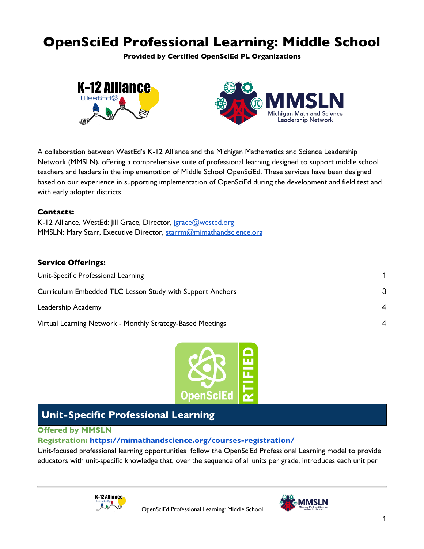# **OpenSciEd Professional Learning: Middle School**

**Provided by Certified OpenSciEd PL Organizations**



A collaboration between WestEd's K-12 Alliance and the Michigan Mathematics and Science Leadership Network (MMSLN), offering a comprehensive suite of professional learning designed to support middle school teachers and leaders in the implementation of Middle School OpenSciEd. These services have been designed based on our experience in supporting implementation of OpenSciEd during the development and field test and with early adopter districts.

## **Contacts:**

K-12 Alliance, WestEd: Jill Grace, Director, jgrace@wested.org MMSLN: Mary Starr, Executive Director, starrm@mimathandscience.org

## **Service Offerings:**

| Unit-Specific Professional Learning                        |                        |
|------------------------------------------------------------|------------------------|
| Curriculum Embedded TLC Lesson Study with Support Anchors  | 3                      |
| Leadership Academy                                         | $\boldsymbol{\Lambda}$ |
| Virtual Learning Network - Monthly Strategy-Based Meetings |                        |



# **Unit-Specific Professional Learning**

## **Offered by MMSLN**

## **Registration: https://mimathandscience.org/courses-registration/**

Unit-focused professional learning opportunities follow the OpenSciEd Professional Learning model to provide educators with unit-specific knowledge that, over the sequence of all units per grade, introduces each unit per



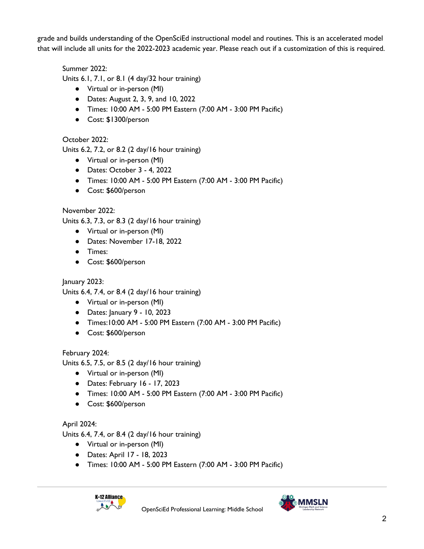grade and builds understanding of the OpenSciEd instructional model and routines. This is an accelerated model that will include all units for the 2022-2023 academic year. Please reach out if a customization of this is required.

Summer 2022:

Units 6.1, 7.1, or 8.1 (4 day/32 hour training)

- Virtual or in-person (MI)
- Dates: August 2, 3, 9, and 10, 2022
- Times: 10:00 AM 5:00 PM Eastern (7:00 AM 3:00 PM Pacific)
- Cost: \$1300/person

October 2022:

Units 6.2, 7.2, or 8.2 (2 day/16 hour training)

- Virtual or in-person (MI)
- Dates: October 3 4, 2022
- Times: 10:00 AM 5:00 PM Eastern (7:00 AM 3:00 PM Pacific)
- Cost: \$600/person

# November 2022:

Units 6.3, 7.3, or 8.3 (2 day/16 hour training)

- Virtual or in-person (MI)
- Dates: November 17-18, 2022
- Times:
- Cost: \$600/person

January 2023:

Units 6.4, 7.4, or 8.4 (2 day/16 hour training)

- Virtual or in-person (MI)
- Dates: January 9 10, 2023
- Times:10:00 AM 5:00 PM Eastern (7:00 AM 3:00 PM Pacific)
- Cost: \$600/person

# February 2024:

Units 6.5, 7.5, or 8.5 (2 day/16 hour training)

- Virtual or in-person (MI)
- Dates: February 16 17, 2023
- Times: 10:00 AM 5:00 PM Eastern (7:00 AM 3:00 PM Pacific)
- Cost: \$600/person

# April 2024:

Units 6.4, 7.4, or 8.4 (2 day/16 hour training)

- Virtual or in-person (MI)
- Dates: April 17 18, 2023
- Times: 10:00 AM 5:00 PM Eastern (7:00 AM 3:00 PM Pacific)



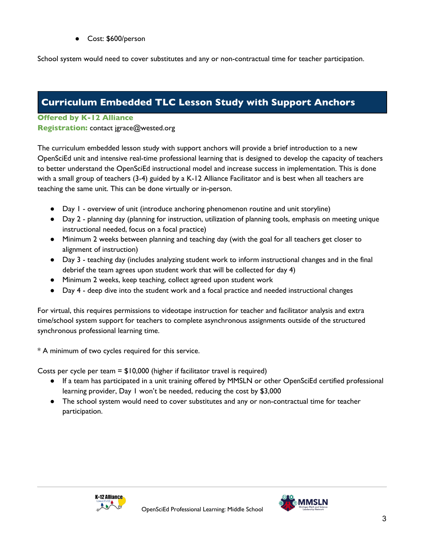● Cost: \$600/person

School system would need to cover substitutes and any or non-contractual time for teacher participation.

# **Curriculum Embedded TLC Lesson Study with Support Anchors**

## **Offered by K-12 Alliance**

**Registration:** contact jgrace@wested.org

The curriculum embedded lesson study with support anchors will provide a brief introduction to a new OpenSciEd unit and intensive real-time professional learning that is designed to develop the capacity of teachers to better understand the OpenSciEd instructional model and increase success in implementation. This is done with a small group of teachers (3-4) guided by a K-12 Alliance Facilitator and is best when all teachers are teaching the same unit. This can be done virtually or in-person.

- Day 1 overview of unit (introduce anchoring phenomenon routine and unit storyline)
- Day 2 planning day (planning for instruction, utilization of planning tools, emphasis on meeting unique instructional needed, focus on a focal practice)
- Minimum 2 weeks between planning and teaching day (with the goal for all teachers get closer to alignment of instruction)
- Day 3 teaching day (includes analyzing student work to inform instructional changes and in the final debrief the team agrees upon student work that will be collected for day 4)
- Minimum 2 weeks, keep teaching, collect agreed upon student work
- Day 4 deep dive into the student work and a focal practice and needed instructional changes

For virtual, this requires permissions to videotape instruction for teacher and facilitator analysis and extra time/school system support for teachers to complete asynchronous assignments outside of the structured synchronous professional learning time.

\* A minimum of two cycles required for this service.

Costs per cycle per team = \$10,000 (higher if facilitator travel is required)

- If a team has participated in a unit training offered by MMSLN or other OpenSciEd certified professional learning provider, Day 1 won't be needed, reducing the cost by \$3,000
- The school system would need to cover substitutes and any or non-contractual time for teacher participation.

OpenSciEd Professional Learning: Middle School



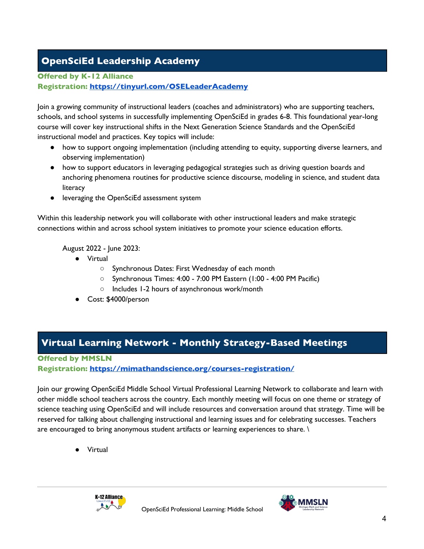# **OpenSciEd Leadership Academy**

## **Offered by K-12 Alliance**

## **Registration: https://tinyurl.com/OSELeaderAcademy**

Join a growing community of instructional leaders (coaches and administrators) who are supporting teachers, schools, and school systems in successfully implementing OpenSciEd in grades 6-8. This foundational year-long course will cover key instructional shifts in the Next Generation Science Standards and the OpenSciEd instructional model and practices. Key topics will include:

- how to support ongoing implementation (including attending to equity, supporting diverse learners, and observing implementation)
- how to support educators in leveraging pedagogical strategies such as driving question boards and anchoring phenomena routines for productive science discourse, modeling in science, and student data literacy
- leveraging the OpenSciEd assessment system

Within this leadership network you will collaborate with other instructional leaders and make strategic connections within and across school system initiatives to promote your science education efforts.

August 2022 - June 2023:

- Virtual
	- Synchronous Dates: First Wednesday of each month
	- Synchronous Times: 4:00 7:00 PM Eastern (1:00 4:00 PM Pacific)
	- Includes 1-2 hours of asynchronous work/month
- Cost: \$4000/person

# **Virtual Learning Network - Monthly Strategy-Based Meetings**

## **Offered by MMSLN**

**Registration: https://mimathandscience.org/courses-registration/**

Join our growing OpenSciEd Middle School Virtual Professional Learning Network to collaborate and learn with other middle school teachers across the country. Each monthly meeting will focus on one theme or strategy of science teaching using OpenSciEd and will include resources and conversation around that strategy. Time will be reserved for talking about challenging instructional and learning issues and for celebrating successes. Teachers are encouraged to bring anonymous student artifacts or learning experiences to share. \

● Virtual